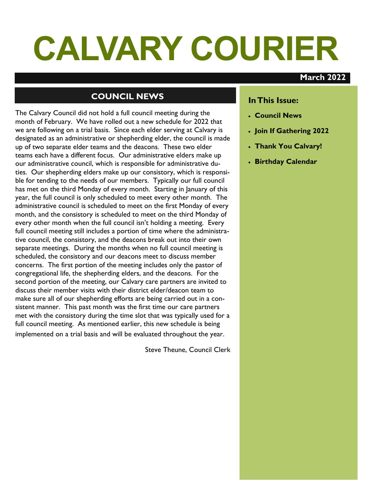# **CALVARY COURIER**

### **March 2022**

# **COUNCIL NEWS**

The Calvary Council did not hold a full council meeting during the month of February. We have rolled out a new schedule for 2022 that we are following on a trial basis. Since each elder serving at Calvary is designated as an administrative or shepherding elder, the council is made up of two separate elder teams and the deacons. These two elder teams each have a different focus. Our administrative elders make up our administrative council, which is responsible for administrative duties. Our shepherding elders make up our consistory, which is responsible for tending to the needs of our members. Typically our full council has met on the third Monday of every month. Starting in January of this year, the full council is only scheduled to meet every other month. The administrative council is scheduled to meet on the first Monday of every month, and the consistory is scheduled to meet on the third Monday of every other month when the full council isn't holding a meeting. Every full council meeting still includes a portion of time where the administrative council, the consistory, and the deacons break out into their own separate meetings. During the months when no full council meeting is scheduled, the consistory and our deacons meet to discuss member concerns. The first portion of the meeting includes only the pastor of congregational life, the shepherding elders, and the deacons. For the second portion of the meeting, our Calvary care partners are invited to discuss their member visits with their district elder/deacon team to make sure all of our shepherding efforts are being carried out in a consistent manner. This past month was the first time our care partners met with the consistory during the time slot that was typically used for a full council meeting. As mentioned earlier, this new schedule is being implemented on a trial basis and will be evaluated throughout the year.

Steve Theune, Council Clerk

### **In This Issue:**

- **Council News**
- **Join If Gathering 2022**
- **Thank You Calvary!**
- **Birthday Calendar**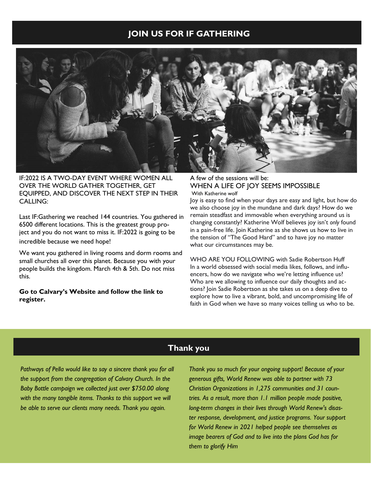### **JOIN US FOR IF GATHERING**



IF:2022 IS A TWO-DAY EVENT WHERE WOMEN ALL OVER THE WORLD GATHER TOGETHER, GET EQUIPPED, AND DISCOVER THE NEXT STEP IN THEIR CALLING:

Last IF:Gathering we reached 144 countries. You gathered in 6500 different locations. This is the greatest group project and you do not want to miss it. IF:2022 is going to be incredible because we need hope!

We want you gathered in living rooms and dorm rooms and small churches all over this planet. Because you with your people builds the kingdom. March 4th & 5th. Do not miss this.

**Go to Calvary's Website and follow the link to register.** 

A few of the sessions will be: WHEN A LIFE OF JOY SEEMS IMPOSSIBLE With Katherine wolf

Joy is easy to find when your days are easy and light, but how do we also choose joy in the mundane and dark days? How do we remain steadfast and immovable when everything around us is changing constantly? Katherine Wolf believes joy isn't *only* found in a pain-free life. Join Katherine as she shows us how to live in the tension of "The Good Hard" and to have joy no matter what our circumstances may be.

WHO ARE YOU FOLLOWING with Sadie Robertson Huff In a world obsessed with social media likes, follows, and influencers, how do we navigate who we're letting influence us? Who are we allowing to influence our daily thoughts and actions? Join Sadie Robertson as she takes us on a deep dive to explore how to live a vibrant, bold, and uncompromising life of faith in God when we have so many voices telling us who to be.

## **Thank you**

Pathways of Pella would like to say a sincere thank you for all *the support from the congregation of Calvary Church. In the Baby Bottle campaign we collected just over \$750.00 along with the many tangible items. Thanks to this support we will be able to serve our clients many needs. Thank you again.* 

*Thank you so much for your ongoing support! Because of your generous gifts, World Renew was able to partner with 73 Christian Organizations in 1,275 communities and 31 countries. As a result, more than 1.1 million people made positive, long-term changes in their lives through World Renew's disaster response, development, and justice programs. Your support for World Renew in 2021 helped people see themselves as image bearers of God and to live into the plans God has for them to glorify Him*